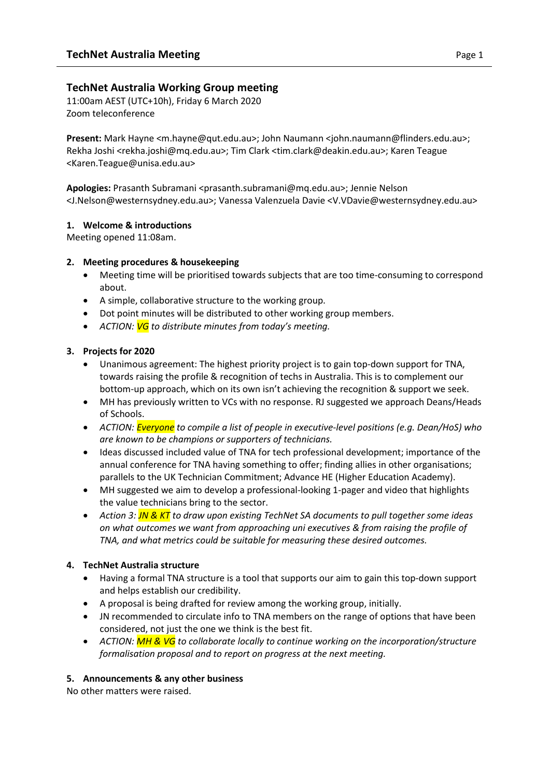## **TechNet Australia Working Group meeting**

11:00am AEST (UTC+10h), Friday 6 March 2020 Zoom teleconference

**Present:** Mark Hayne <m.hayne@qut.edu.au>; John Naumann <john.naumann@flinders.edu.au>; Rekha Joshi <rekha.joshi@mq.edu.au>; Tim Clark <tim.clark@deakin.edu.au>; Karen Teague <Karen.Teague@unisa.edu.au>

**Apologies:** Prasanth Subramani <prasanth.subramani@mq.edu.au>; Jennie Nelson <J.Nelson@westernsydney.edu.au>; Vanessa Valenzuela Davie <V.VDavie@westernsydney.edu.au>

#### **1. Welcome & introductions**

Meeting opened 11:08am.

#### **2. Meeting procedures & housekeeping**

- Meeting time will be prioritised towards subjects that are too time-consuming to correspond about.
- A simple, collaborative structure to the working group.
- Dot point minutes will be distributed to other working group members.
- *ACTION: VG to distribute minutes from today's meeting.*

## **3. Projects for 2020**

- Unanimous agreement: The highest priority project is to gain top-down support for TNA, towards raising the profile & recognition of techs in Australia. This is to complement our bottom-up approach, which on its own isn't achieving the recognition & support we seek.
- MH has previously written to VCs with no response. RJ suggested we approach Deans/Heads of Schools.
- *ACTION: Everyone to compile a list of people in executive-level positions (e.g. Dean/HoS) who are known to be champions or supporters of technicians.*
- Ideas discussed included value of TNA for tech professional development; importance of the annual conference for TNA having something to offer; finding allies in other organisations; parallels to the UK Technician Commitment; Advance HE (Higher Education Academy).
- MH suggested we aim to develop a professional-looking 1-pager and video that highlights the value technicians bring to the sector.
- *Action 3: JN & KT to draw upon existing TechNet SA documents to pull together some ideas on what outcomes we want from approaching uni executives & from raising the profile of TNA, and what metrics could be suitable for measuring these desired outcomes.*

## **4. TechNet Australia structure**

- Having a formal TNA structure is a tool that supports our aim to gain this top-down support and helps establish our credibility.
- A proposal is being drafted for review among the working group, initially.
- JN recommended to circulate info to TNA members on the range of options that have been considered, not just the one we think is the best fit.
- *ACTION: MH & VG to collaborate locally to continue working on the incorporation/structure formalisation proposal and to report on progress at the next meeting.*

## **5. Announcements & any other business**

No other matters were raised.